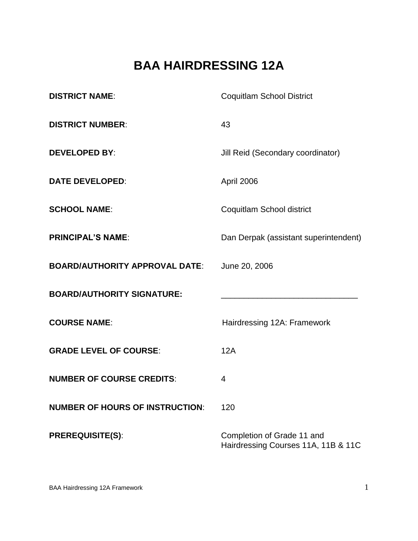# **BAA HAIRDRESSING 12A**

| <b>DISTRICT NAME:</b>                  | <b>Coquitlam School District</b>                                  |
|----------------------------------------|-------------------------------------------------------------------|
| <b>DISTRICT NUMBER:</b>                | 43                                                                |
| <b>DEVELOPED BY:</b>                   | Jill Reid (Secondary coordinator)                                 |
| <b>DATE DEVELOPED:</b>                 | April 2006                                                        |
| <b>SCHOOL NAME:</b>                    | Coquitlam School district                                         |
| <b>PRINCIPAL'S NAME:</b>               | Dan Derpak (assistant superintendent)                             |
| <b>BOARD/AUTHORITY APPROVAL DATE:</b>  | June 20, 2006                                                     |
| <b>BOARD/AUTHORITY SIGNATURE:</b>      |                                                                   |
| <b>COURSE NAME:</b>                    | Hairdressing 12A: Framework                                       |
| <b>GRADE LEVEL OF COURSE:</b>          | 12A                                                               |
| <b>NUMBER OF COURSE CREDITS:</b>       | 4                                                                 |
| <b>NUMBER OF HOURS OF INSTRUCTION:</b> | 120                                                               |
| <b>PREREQUISITE(S):</b>                | Completion of Grade 11 and<br>Hairdressing Courses 11A, 11B & 11C |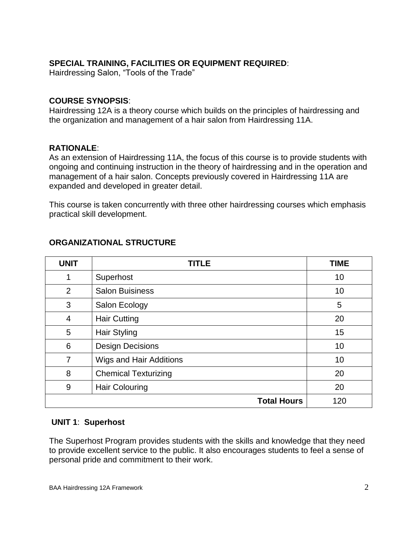#### **SPECIAL TRAINING, FACILITIES OR EQUIPMENT REQUIRED**:

Hairdressing Salon, "Tools of the Trade"

#### **COURSE SYNOPSIS**:

Hairdressing 12A is a theory course which builds on the principles of hairdressing and the organization and management of a hair salon from Hairdressing 11A.

#### **RATIONALE**:

As an extension of Hairdressing 11A, the focus of this course is to provide students with ongoing and continuing instruction in the theory of hairdressing and in the operation and management of a hair salon. Concepts previously covered in Hairdressing 11A are expanded and developed in greater detail.

This course is taken concurrently with three other hairdressing courses which emphasis practical skill development.

| <b>UNIT</b>    | <b>TITLE</b>                | <b>TIME</b> |
|----------------|-----------------------------|-------------|
| 1              | Superhost                   | 10          |
| $\overline{2}$ | <b>Salon Buisiness</b>      | 10          |
| 3              | Salon Ecology               | 5           |
| 4              | <b>Hair Cutting</b>         | 20          |
| 5              | <b>Hair Styling</b>         | 15          |
| 6              | <b>Design Decisions</b>     | 10          |
| $\overline{7}$ | Wigs and Hair Additions     | 10          |
| 8              | <b>Chemical Texturizing</b> | 20          |
| 9              | <b>Hair Colouring</b>       | 20          |
|                | <b>Total Hours</b>          | 120         |

#### **ORGANIZATIONAL STRUCTURE**

#### **UNIT 1**: **Superhost**

The Superhost Program provides students with the skills and knowledge that they need to provide excellent service to the public. It also encourages students to feel a sense of personal pride and commitment to their work.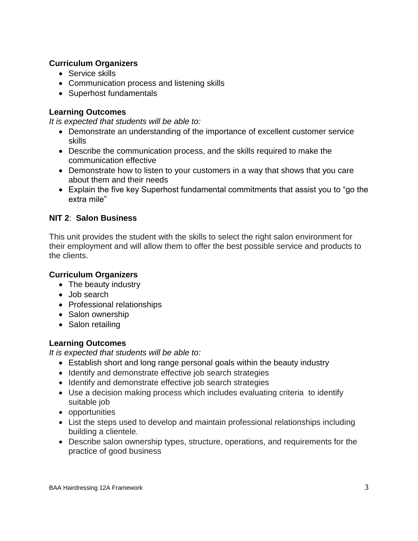## **Curriculum Organizers**

- Service skills
- Communication process and listening skills
- Superhost fundamentals

#### **Learning Outcomes**

*It is expected that students will be able to:*

- Demonstrate an understanding of the importance of excellent customer service skills
- Describe the communication process, and the skills required to make the communication effective
- Demonstrate how to listen to your customers in a way that shows that you care about them and their needs
- Explain the five key Superhost fundamental commitments that assist you to "go the extra mile"

## **NIT 2**: **Salon Business**

This unit provides the student with the skills to select the right salon environment for their employment and will allow them to offer the best possible service and products to the clients.

#### **Curriculum Organizers**

- The beauty industry
- Job search
- Professional relationships
- Salon ownership
- Salon retailing

## **Learning Outcomes**

*It is expected that students will be able to:*

- Establish short and long range personal goals within the beauty industry
- Identify and demonstrate effective job search strategies
- Identify and demonstrate effective job search strategies
- Use a decision making process which includes evaluating criteria to identify suitable job
- opportunities
- List the steps used to develop and maintain professional relationships including building a clientele.
- Describe salon ownership types, structure, operations, and requirements for the practice of good business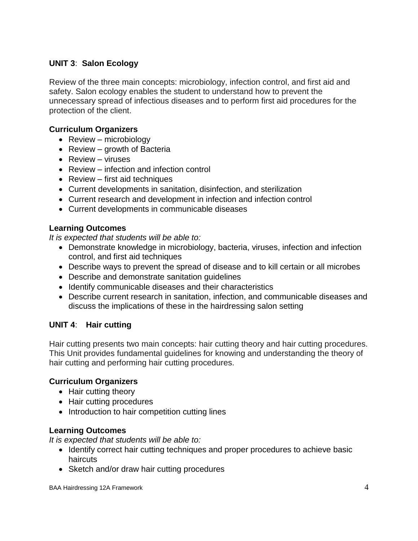# **UNIT 3**: **Salon Ecology**

Review of the three main concepts: microbiology, infection control, and first aid and safety. Salon ecology enables the student to understand how to prevent the unnecessary spread of infectious diseases and to perform first aid procedures for the protection of the client.

#### **Curriculum Organizers**

- Review microbiology
- Review growth of Bacteria
- Review viruses
- Review infection and infection control
- $\bullet$  Review first aid techniques
- Current developments in sanitation, disinfection, and sterilization
- Current research and development in infection and infection control
- Current developments in communicable diseases

#### **Learning Outcomes**

*It is expected that students will be able to:*

- Demonstrate knowledge in microbiology, bacteria, viruses, infection and infection control, and first aid techniques
- Describe ways to prevent the spread of disease and to kill certain or all microbes
- Describe and demonstrate sanitation guidelines
- Identify communicable diseases and their characteristics
- Describe current research in sanitation, infection, and communicable diseases and discuss the implications of these in the hairdressing salon setting

## **UNIT 4**: **Hair cutting**

Hair cutting presents two main concepts: hair cutting theory and hair cutting procedures. This Unit provides fundamental guidelines for knowing and understanding the theory of hair cutting and performing hair cutting procedures.

#### **Curriculum Organizers**

- Hair cutting theory
- Hair cutting procedures
- Introduction to hair competition cutting lines

#### **Learning Outcomes**

*It is expected that students will be able to:*

- Identify correct hair cutting techniques and proper procedures to achieve basic haircuts
- Sketch and/or draw hair cutting procedures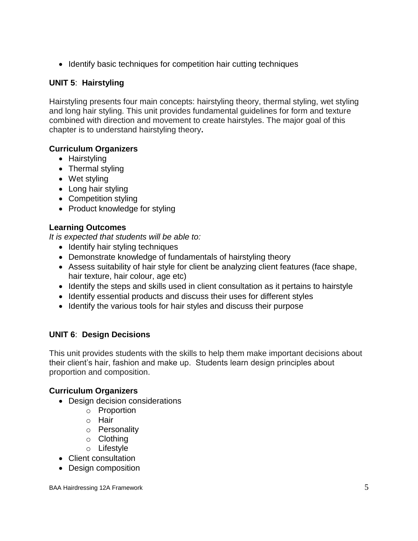• Identify basic techniques for competition hair cutting techniques

# **UNIT 5**: **Hairstyling**

Hairstyling presents four main concepts: hairstyling theory, thermal styling, wet styling and long hair styling. This unit provides fundamental guidelines for form and texture combined with direction and movement to create hairstyles. The major goal of this chapter is to understand hairstyling theory**.**

## **Curriculum Organizers**

- Hairstyling
- Thermal styling
- Wet styling
- Long hair styling
- Competition styling
- Product knowledge for styling

## **Learning Outcomes**

*It is expected that students will be able to:*

- Identify hair styling techniques
- Demonstrate knowledge of fundamentals of hairstyling theory
- Assess suitability of hair style for client be analyzing client features (face shape, hair texture, hair colour, age etc)
- Identify the steps and skills used in client consultation as it pertains to hairstyle
- Identify essential products and discuss their uses for different styles
- Identify the various tools for hair styles and discuss their purpose

## **UNIT 6**: **Design Decisions**

This unit provides students with the skills to help them make important decisions about their client's hair, fashion and make up. Students learn design principles about proportion and composition.

## **Curriculum Organizers**

- Design decision considerations
	- o Proportion
	- o Hair
	- o Personality
	- o Clothing
	- o Lifestyle
- Client consultation
- Design composition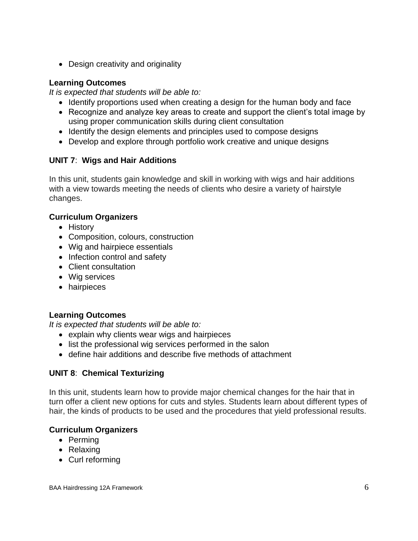• Design creativity and originality

## **Learning Outcomes**

*It is expected that students will be able to:*

- Identify proportions used when creating a design for the human body and face
- Recognize and analyze key areas to create and support the client's total image by using proper communication skills during client consultation
- Identify the design elements and principles used to compose designs
- Develop and explore through portfolio work creative and unique designs

# **UNIT 7**: **Wigs and Hair Additions**

In this unit, students gain knowledge and skill in working with wigs and hair additions with a view towards meeting the needs of clients who desire a variety of hairstyle changes.

# **Curriculum Organizers**

- History
- Composition, colours, construction
- Wig and hairpiece essentials
- Infection control and safety
- Client consultation
- Wig services
- hairpieces

## **Learning Outcomes**

*It is expected that students will be able to:*

- explain why clients wear wigs and hairpieces
- list the professional wig services performed in the salon
- define hair additions and describe five methods of attachment

# **UNIT 8**: **Chemical Texturizing**

In this unit, students learn how to provide major chemical changes for the hair that in turn offer a client new options for cuts and styles. Students learn about different types of hair, the kinds of products to be used and the procedures that yield professional results.

# **Curriculum Organizers**

- Perming
- Relaxing
- Curl reforming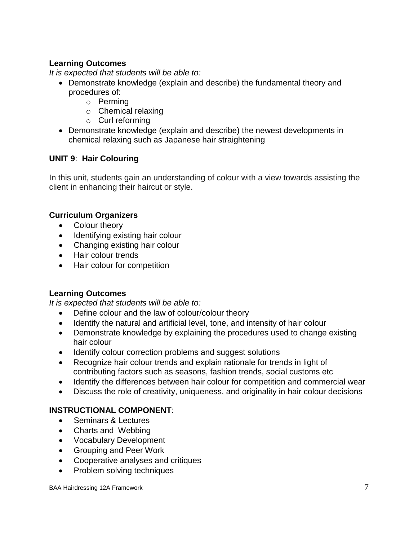## **Learning Outcomes**

*It is expected that students will be able to:*

- Demonstrate knowledge (explain and describe) the fundamental theory and procedures of:
	- o Perming
	- o Chemical relaxing
	- o Curl reforming
- Demonstrate knowledge (explain and describe) the newest developments in chemical relaxing such as Japanese hair straightening

#### **UNIT 9**: **Hair Colouring**

In this unit, students gain an understanding of colour with a view towards assisting the client in enhancing their haircut or style.

#### **Curriculum Organizers**

- Colour theory
- Identifying existing hair colour
- Changing existing hair colour
- Hair colour trends
- Hair colour for competition

#### **Learning Outcomes**

*It is expected that students will be able to:*

- Define colour and the law of colour/colour theory
- Identify the natural and artificial level, tone, and intensity of hair colour
- Demonstrate knowledge by explaining the procedures used to change existing hair colour
- Identify colour correction problems and suggest solutions
- Recognize hair colour trends and explain rationale for trends in light of contributing factors such as seasons, fashion trends, social customs etc
- Identify the differences between hair colour for competition and commercial wear
- Discuss the role of creativity, uniqueness, and originality in hair colour decisions

## **INSTRUCTIONAL COMPONENT**:

- Seminars & Lectures
- Charts and Webbing
- Vocabulary Development
- Grouping and Peer Work
- Cooperative analyses and critiques
- Problem solving techniques

BAA Hairdressing 12A Framework 7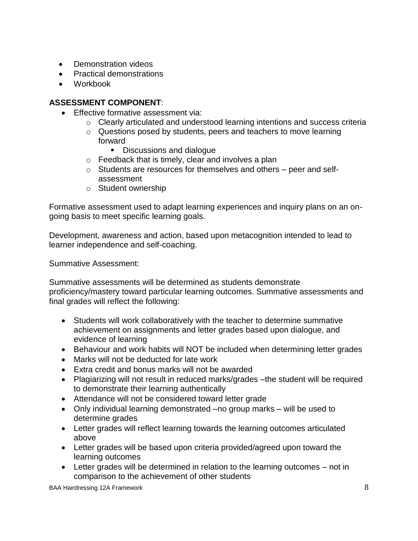- Demonstration videos
- Practical demonstrations
- Workbook

#### **ASSESSMENT COMPONENT**:

- **Effective formative assessment via:** 
	- o Clearly articulated and understood learning intentions and success criteria
	- o Questions posed by students, peers and teachers to move learning forward
		- Discussions and dialogue
	- o Feedback that is timely, clear and involves a plan
	- o Students are resources for themselves and others peer and selfassessment
	- o Student ownership

Formative assessment used to adapt learning experiences and inquiry plans on an ongoing basis to meet specific learning goals.

Development, awareness and action, based upon metacognition intended to lead to learner independence and self-coaching.

Summative Assessment:

Summative assessments will be determined as students demonstrate proficiency/mastery toward particular learning outcomes. Summative assessments and final grades will reflect the following:

- Students will work collaboratively with the teacher to determine summative achievement on assignments and letter grades based upon dialogue, and evidence of learning
- Behaviour and work habits will NOT be included when determining letter grades
- Marks will not be deducted for late work
- Extra credit and bonus marks will not be awarded
- Plagiarizing will not result in reduced marks/grades –the student will be required to demonstrate their learning authentically
- Attendance will not be considered toward letter grade
- Only individual learning demonstrated –no group marks will be used to determine grades
- Letter grades will reflect learning towards the learning outcomes articulated above
- Letter grades will be based upon criteria provided/agreed upon toward the learning outcomes
- Letter grades will be determined in relation to the learning outcomes not in comparison to the achievement of other students

BAA Hairdressing 12A Framework 8